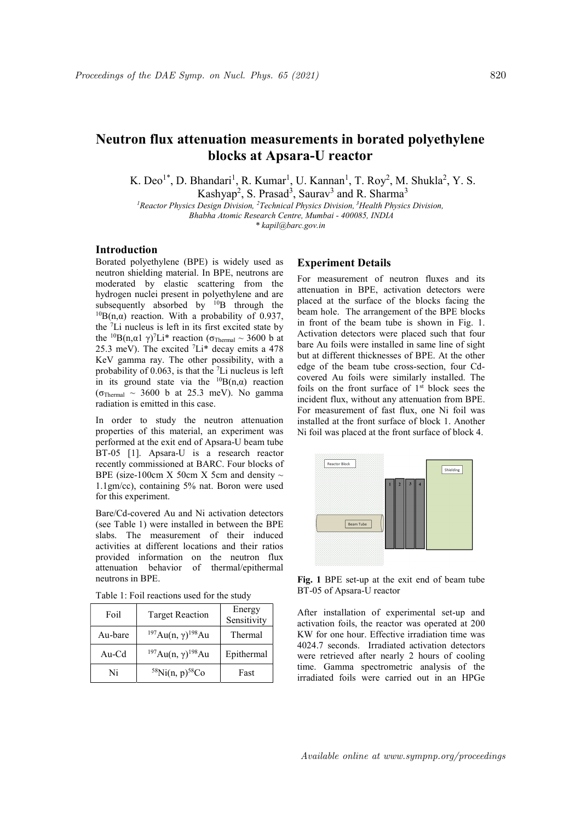# Neutron flux attenuation measurements in borated polyethylene blocks at Apsara-U reactor

K. Deo<sup>1\*</sup>, D. Bhandari<sup>1</sup>, R. Kumar<sup>1</sup>, U. Kannan<sup>1</sup>, T. Roy<sup>2</sup>, M. Shukla<sup>2</sup>, Y. S.

Kashyap<sup>2</sup>, S. Prasad<sup>3</sup>, Saurav<sup>3</sup> and R. Sharma<sup>3</sup>

<sup>1</sup> Reactor Physics Design Division, <sup>2</sup> Technical Physics Division, <sup>3</sup> Health Physics Division, Bhabha Atomic Research Centre, Mumbai - 400085, INDIA

\* kapil@barc.gov.in

## Introduction

Borated polyethylene (BPE) is widely used as neutron shielding material. In BPE, neutrons are moderated by elastic scattering from the hydrogen nuclei present in polyethylene and are subsequently absorbed by  $^{10}B$  through the  ${}^{10}B(n,\alpha)$  reaction. With a probability of 0.937, the <sup>7</sup>Li nucleus is left in its first excited state by the <sup>10</sup>B(n,α1 γ)<sup>7</sup>Li<sup>\*</sup> reaction (σ<sub>Thermal</sub> ~ 3600 b at 25.3 meV). The excited  ${}^{7}Li^{*}$  decay emits a 478 KeV gamma ray. The other possibility, with a probability of  $0.063$ , is that the  $\textsuperscript{7}$ Li nucleus is left in its ground state via the  ${}^{10}B(n,\alpha)$  reaction  $(\sigma_{\text{Thermal}} \sim 3600 \text{ b at } 25.3 \text{ meV})$ . No gamma radiation is emitted in this case.

In order to study the neutron attenuation properties of this material, an experiment was performed at the exit end of Apsara-U beam tube BT-05 [1]. Apsara-U is a research reactor recently commissioned at BARC. Four blocks of BPE (size-100cm X 50cm X 5cm and density  $\sim$ 1.1gm/cc), containing 5% nat. Boron were used for this experiment.

Bare/Cd-covered Au and Ni activation detectors (see Table 1) were installed in between the BPE slabs. The measurement of their induced activities at different locations and their ratios provided information on the neutron flux attenuation behavior of thermal/epithermal neutrons in BPE.

| Table 1: Foil reactions used for the study |
|--------------------------------------------|
|--------------------------------------------|

| Foil    | <b>Target Reaction</b>                    | Energy<br>Sensitivity |
|---------|-------------------------------------------|-----------------------|
| Au-bare | $197Au(n, \gamma)$ <sup>198</sup> Au      | Thermal               |
| Au-Cd   | <sup>197</sup> Au(n, γ) <sup>198</sup> Au | Epithermal            |
| Ni      | $58$ Ni(n, p) <sup>58</sup> Co            | Fast                  |

### Experiment Details

For measurement of neutron fluxes and its attenuation in BPE, activation detectors were placed at the surface of the blocks facing the beam hole. The arrangement of the BPE blocks in front of the beam tube is shown in Fig. 1. Activation detectors were placed such that four bare Au foils were installed in same line of sight but at different thicknesses of BPE. At the other edge of the beam tube cross-section, four Cdcovered Au foils were similarly installed. The foils on the front surface of  $1<sup>st</sup>$  block sees the incident flux, without any attenuation from BPE. For measurement of fast flux, one Ni foil was installed at the front surface of block 1. Another Ni foil was placed at the front surface of block 4.



Fig. 1 BPE set-up at the exit end of beam tube BT-05 of Apsara-U reactor

After installation of experimental set-up and activation foils, the reactor was operated at 200 KW for one hour. Effective irradiation time was 4024.7 seconds. Irradiated activation detectors were retrieved after nearly 2 hours of cooling time. Gamma spectrometric analysis of the irradiated foils were carried out in an HPGe